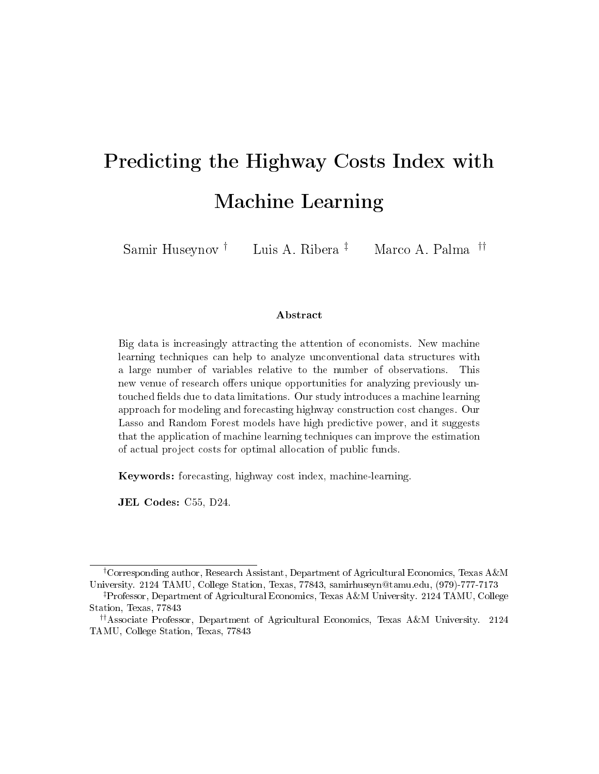# Predicting the Highway Costs Index with Machine Learning

Samir Huseynov † Luis A. Ribera ‡ Marco A. Palma ††

#### Abstract

Big data is increasingly attracting the attention of economists. New machine learning techniques can help to analyze unconventional data structures with a large number of variables relative to the number of observations. This new venue of research offers unique opportunities for analyzing previously untouched fields due to data limitations. Our study introduces a machine learning approach for modeling and forecasting highway construction cost changes. Our Lasso and Random Forest models have high predictive power, and it suggests that the application of machine learning techniques can improve the estimation of actual project costs for optimal allocation of public funds.

Keywords: forecasting, highway cost index, machine-learning.

JEL Codes: C55, D24.

<sup>†</sup>Corresponding author, Research Assistant, Department of Agricultural Economics, Texas A&M University. 2124 TAMU, College Station, Texas, 77843, samirhuseyn@tamu.edu, (979)-777-7173

<sup>‡</sup>Professor, Department of Agricultural Economics, Texas A&M University. 2124 TAMU, College Station, Texas, 77843

<sup>††</sup>Associate Professor, Department of Agricultural Economics, Texas A&M University. 2124 TAMU, College Station, Texas, 77843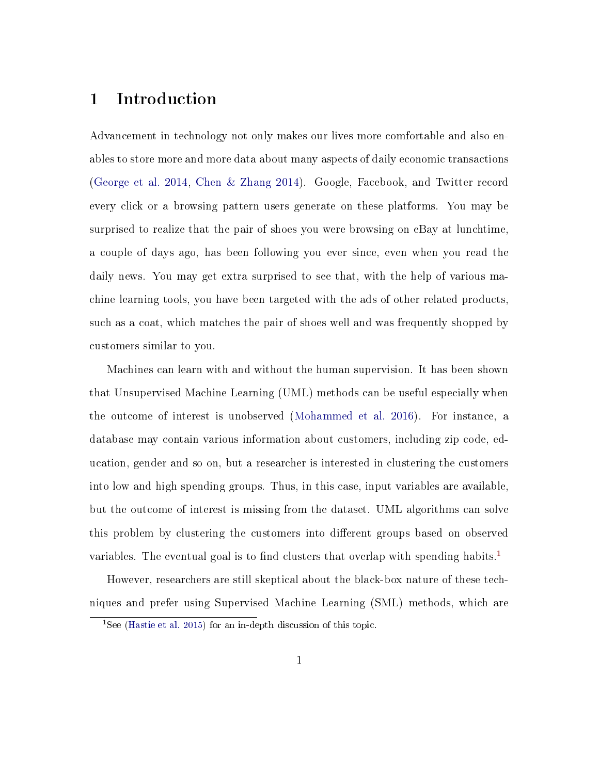# 1 Introduction

Advancement in technology not only makes our lives more comfortable and also enables to store more and more data about many aspects of daily economic transactions [\(George et al.](#page-18-0) [2014,](#page-18-0) [Chen & Zhang](#page-17-0) [2014\)](#page-17-0). Google, Facebook, and Twitter record every click or a browsing pattern users generate on these platforms. You may be surprised to realize that the pair of shoes you were browsing on eBay at lunchtime, a couple of days ago, has been following you ever since, even when you read the daily news. You may get extra surprised to see that, with the help of various machine learning tools, you have been targeted with the ads of other related products, such as a coat, which matches the pair of shoes well and was frequently shopped by customers similar to you.

Machines can learn with and without the human supervision. It has been shown that Unsupervised Machine Learning (UML) methods can be useful especially when the outcome of interest is unobserved [\(Mohammed et al.](#page-19-0) [2016\)](#page-19-0). For instance, a database may contain various information about customers, including zip code, education, gender and so on, but a researcher is interested in clustering the customers into low and high spending groups. Thus, in this case, input variables are available, but the outcome of interest is missing from the dataset. UML algorithms can solve this problem by clustering the customers into different groups based on observed variables. The eventual goal is to find clusters that overlap with spending habits.<sup>[1](#page-1-0)</sup>

However, researchers are still skeptical about the black-box nature of these techniques and prefer using Supervised Machine Learning (SML) methods, which are

<span id="page-1-0"></span><sup>&</sup>lt;sup>1</sup>See [\(Hastie et al.](#page-18-1) [2015\)](#page-18-1) for an in-depth discussion of this topic.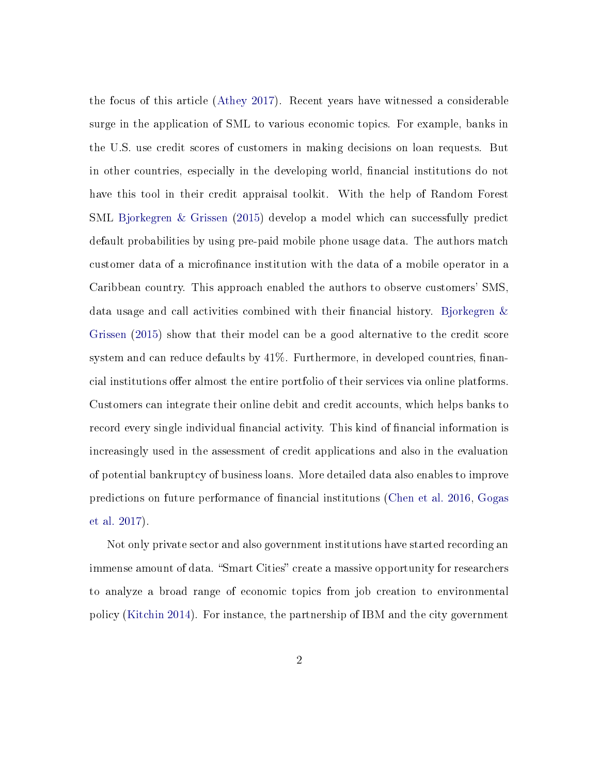the focus of this article [\(Athey](#page-17-1) [2017\)](#page-17-1). Recent years have witnessed a considerable surge in the application of SML to various economic topics. For example, banks in the U.S. use credit scores of customers in making decisions on loan requests. But in other countries, especially in the developing world, financial institutions do not have this tool in their credit appraisal toolkit. With the help of Random Forest SML [Bjorkegren & Grissen](#page-17-2) [\(2015\)](#page-17-2) develop a model which can successfully predict default probabilities by using pre-paid mobile phone usage data. The authors match customer data of a microfinance institution with the data of a mobile operator in a Caribbean country. This approach enabled the authors to observe customers' SMS, data usage and call activities combined with their financial history. Bjorkegren  $\&$ [Grissen](#page-17-2) [\(2015\)](#page-17-2) show that their model can be a good alternative to the credit score system and can reduce defaults by  $41\%$ . Furthermore, in developed countries, financial institutions of fer almost the entire portfolio of their services via online platforms. Customers can integrate their online debit and credit accounts, which helps banks to record every single individual financial activity. This kind of financial information is increasingly used in the assessment of credit applications and also in the evaluation of potential bankruptcy of business loans. More detailed data also enables to improve predictions on future performance of nancial institutions [\(Chen et al.](#page-17-3) [2016,](#page-17-3) [Gogas](#page-18-2) [et al.](#page-18-2) [2017\)](#page-18-2).

Not only private sector and also government institutions have started recording an immense amount of data. "Smart Cities" create a massive opportunity for researchers to analyze a broad range of economic topics from job creation to environmental policy [\(Kitchin](#page-19-1) [2014\)](#page-19-1). For instance, the partnership of IBM and the city government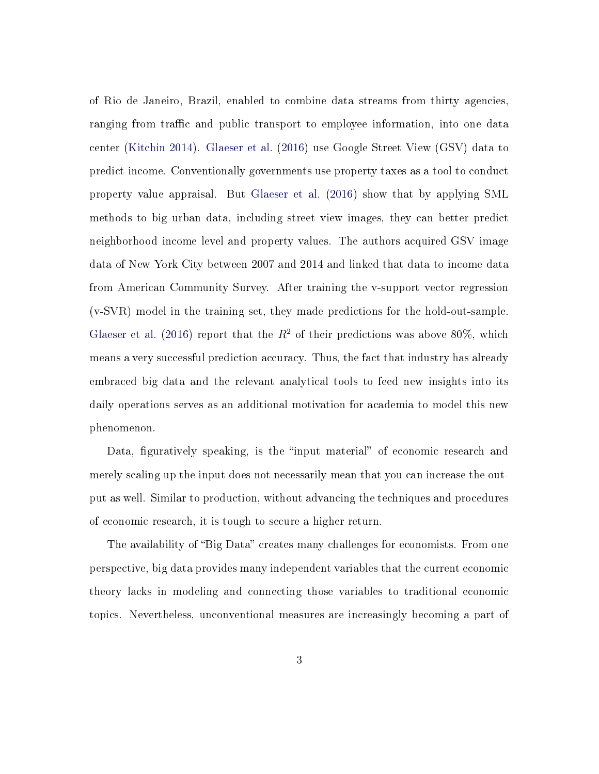of Rio de Janeiro, Brazil, enabled to combine data streams from thirty agencies, ranging from traffic and public transport to employee information, into one data center [\(Kitchin](#page-19-1) [2014\)](#page-19-1). [Glaeser et al.](#page-18-3) [\(2016\)](#page-18-3) use Google Street View (GSV) data to predict income. Conventionally governments use property taxes as a tool to conduct property value appraisal. But [Glaeser et al.](#page-18-3) [\(2016\)](#page-18-3) show that by applying SML methods to big urban data, including street view images, they can better predict neighborhood income level and property values. The authors acquired GSV image data of New York City between 2007 and 2014 and linked that data to income data from American Community Survey. After training the v-support vector regression (v-SVR) model in the training set, they made predictions for the hold-out-sample. [Glaeser et al.](#page-18-3) [\(2016\)](#page-18-3) report that the  $R^2$  of their predictions was above 80%, which means a very successful prediction accuracy. Thus, the fact that industry has already embraced big data and the relevant analytical tools to feed new insights into its daily operations serves as an additional motivation for academia to model this new phenomenon.

Data, figuratively speaking, is the "input material" of economic research and merely scaling up the input does not necessarily mean that you can increase the output as well. Similar to production, without advancing the techniques and procedures of economic research, it is tough to secure a higher return.

The availability of "Big Data" creates many challenges for economists. From one perspective, big data provides many independent variables that the current economic theory lacks in modeling and connecting those variables to traditional economic topics. Nevertheless, unconventional measures are increasingly becoming a part of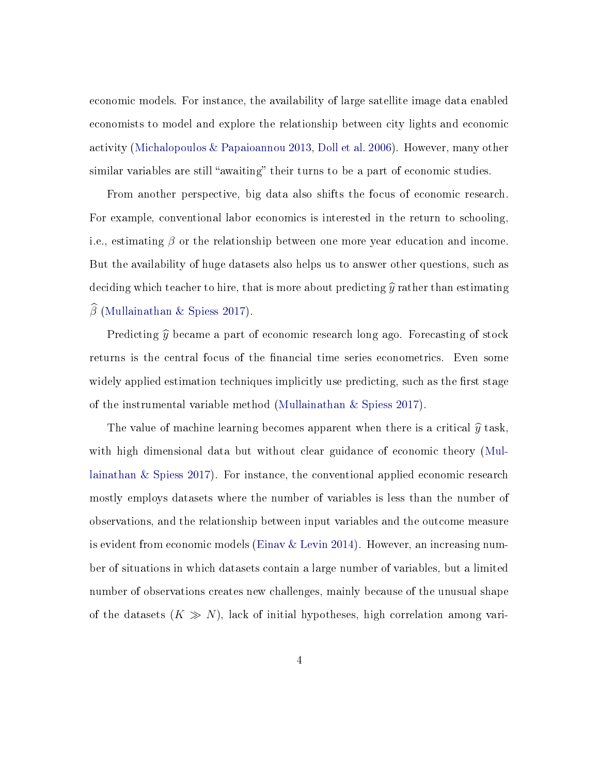economic models. For instance, the availability of large satellite image data enabled economists to model and explore the relationship between city lights and economic activity [\(Michalopoulos & Papaioannou](#page-19-2) [2013,](#page-19-2) [Doll et al.](#page-17-4) [2006\)](#page-17-4). However, many other similar variables are still "awaiting" their turns to be a part of economic studies.

From another perspective, big data also shifts the focus of economic research. For example, conventional labor economics is interested in the return to schooling, i.e., estimating  $\beta$  or the relationship between one more year education and income. But the availability of huge datasets also helps us to answer other questions, such as deciding which teacher to hire, that is more about predicting  $\hat{y}$  rather than estimating  $\beta$  [\(Mullainathan & Spiess](#page-19-3) [2017\)](#page-19-3).

Predicting  $\hat{y}$  became a part of economic research long ago. Forecasting of stock returns is the central focus of the financial time series econometrics. Even some widely applied estimation techniques implicitly use predicting, such as the first stage of the instrumental variable method [\(Mullainathan & Spiess](#page-19-3) [2017\)](#page-19-3).

The value of machine learning becomes apparent when there is a critical  $\hat{y}$  task, with high dimensional data but without clear guidance of economic theory [\(Mul](#page-19-3)[lainathan & Spiess](#page-19-3) [2017\)](#page-19-3). For instance, the conventional applied economic research mostly employs datasets where the number of variables is less than the number of observations, and the relationship between input variables and the outcome measure is evident from economic models [\(Einav & Levin](#page-17-5) [2014\)](#page-17-5). However, an increasing number of situations in which datasets contain a large number of variables, but a limited number of observations creates new challenges, mainly because of the unusual shape of the datasets  $(K \gg N)$ , lack of initial hypotheses, high correlation among vari-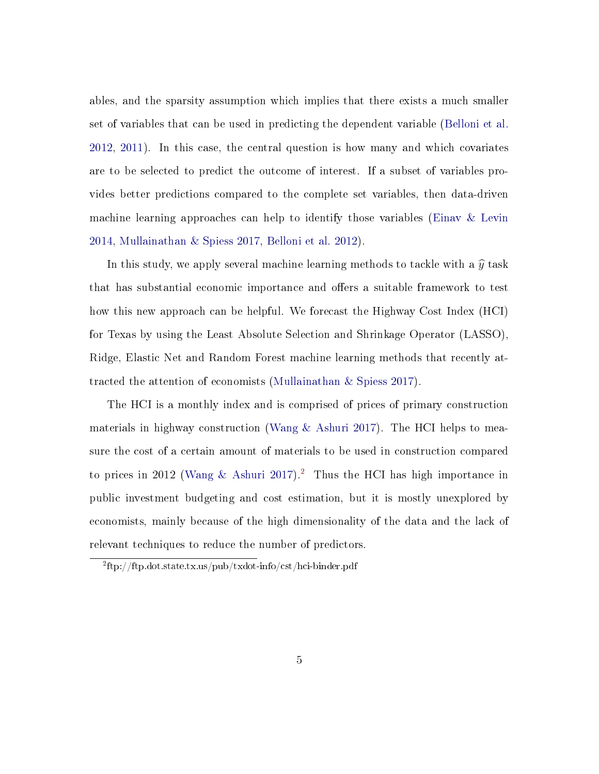ables, and the sparsity assumption which implies that there exists a much smaller set of variables that can be used in predicting the dependent variable [\(Belloni et al.](#page-17-6) [2012,](#page-17-6) [2011\)](#page-17-7). In this case, the central question is how many and which covariates are to be selected to predict the outcome of interest. If a subset of variables provides better predictions compared to the complete set variables, then data-driven machine learning approaches can help to identify those variables [\(Einav & Levin](#page-17-5) [2014,](#page-17-5) [Mullainathan & Spiess](#page-19-3) [2017,](#page-19-3) [Belloni et al.](#page-17-6) [2012\)](#page-17-6).

In this study, we apply several machine learning methods to tackle with a  $\hat{y}$  task that has substantial economic importance and offers a suitable framework to test how this new approach can be helpful. We forecast the Highway Cost Index (HCI) for Texas by using the Least Absolute Selection and Shrinkage Operator (LASSO), Ridge, Elastic Net and Random Forest machine learning methods that recently attracted the attention of economists [\(Mullainathan & Spiess](#page-19-3) [2017\)](#page-19-3).

The HCI is a monthly index and is comprised of prices of primary construction materials in highway construction (Wang  $\&$  Ashuri [2017\)](#page-19-4). The HCI helps to measure the cost of a certain amount of materials to be used in construction compared to prices in 2012 [\(Wang & Ashuri](#page-19-4) [2017\)](#page-19-4).<sup>[2](#page-5-0)</sup> Thus the HCI has high importance in public investment budgeting and cost estimation, but it is mostly unexplored by economists, mainly because of the high dimensionality of the data and the lack of relevant techniques to reduce the number of predictors.

<span id="page-5-0"></span><sup>2</sup> ftp://ftp.dot.state.tx.us/pub/txdot-info/cst/hci-binder.pdf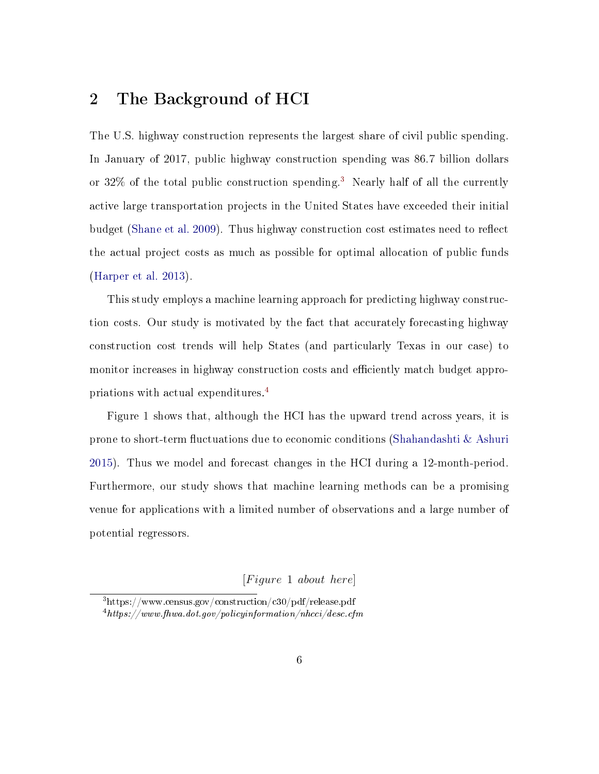# 2 The Background of HCI

The U.S. highway construction represents the largest share of civil public spending. In January of 2017, public highway construction spending was 86.7 billion dollars or 32% of the total public construction spending.[3](#page-6-0) Nearly half of all the currently active large transportation projects in the United States have exceeded their initial budget [\(Shane et al.](#page-19-5) [2009\)](#page-19-5). Thus highway construction cost estimates need to reflect the actual project costs as much as possible for optimal allocation of public funds [\(Harper et al.](#page-18-4) [2013\)](#page-18-4).

This study employs a machine learning approach for predicting highway construction costs. Our study is motivated by the fact that accurately forecasting highway construction cost trends will help States (and particularly Texas in our case) to monitor increases in highway construction costs and efficiently match budget appropriations with actual expenditures. [4](#page-6-1)

Figure 1 shows that, although the HCI has the upward trend across years, it is prone to short-term fluctuations due to economic conditions (Shahandashti  $\&$  Ashuri [2015\)](#page-19-6). Thus we model and forecast changes in the HCI during a 12-month-period. Furthermore, our study shows that machine learning methods can be a promising venue for applications with a limited number of observations and a large number of potential regressors.

 $[Figure 1 about here]$ 

<span id="page-6-1"></span><span id="page-6-0"></span><sup>3</sup>https://www.census.gov/construction/c30/pdf/release.pdf  $4$ https://www.fhwa.dot.gov/policyinformation/nhcci/desc.cfm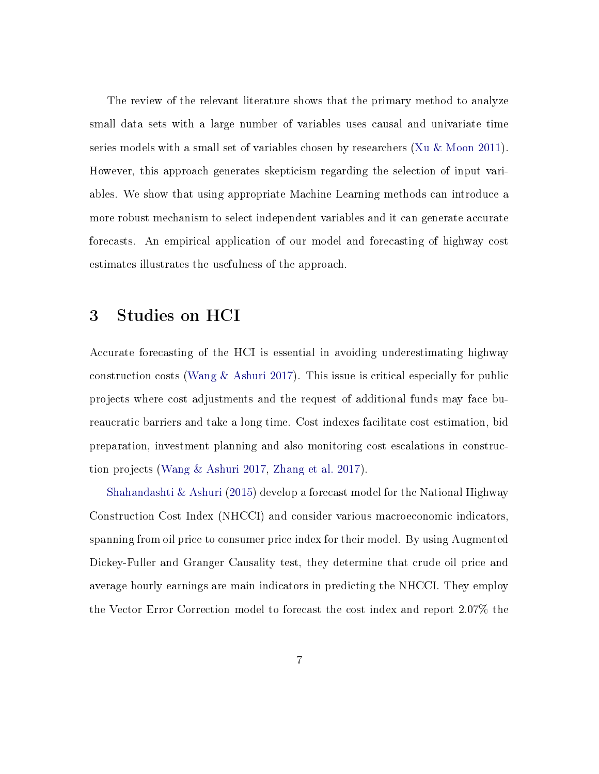The review of the relevant literature shows that the primary method to analyze small data sets with a large number of variables uses causal and univariate time series models with a small set of variables chosen by researchers [\(Xu & Moon](#page-20-0) [2011\)](#page-20-0). However, this approach generates skepticism regarding the selection of input variables. We show that using appropriate Machine Learning methods can introduce a more robust mechanism to select independent variables and it can generate accurate forecasts. An empirical application of our model and forecasting of highway cost estimates illustrates the usefulness of the approach.

# 3 Studies on HCI

Accurate forecasting of the HCI is essential in avoiding underestimating highway construction costs [\(Wang & Ashuri](#page-19-4) [2017\)](#page-19-4). This issue is critical especially for public projects where cost adjustments and the request of additional funds may face bureaucratic barriers and take a long time. Cost indexes facilitate cost estimation, bid preparation, investment planning and also monitoring cost escalations in construction projects [\(Wang & Ashuri](#page-19-4) [2017,](#page-19-4) [Zhang et al.](#page-20-1) [2017\)](#page-20-1).

[Shahandashti & Ashuri](#page-19-6) [\(2015\)](#page-19-6) develop a forecast model for the National Highway Construction Cost Index (NHCCI) and consider various macroeconomic indicators, spanning from oil price to consumer price index for their model. By using Augmented Dickey-Fuller and Granger Causality test, they determine that crude oil price and average hourly earnings are main indicators in predicting the NHCCI. They employ the Vector Error Correction model to forecast the cost index and report 2.07% the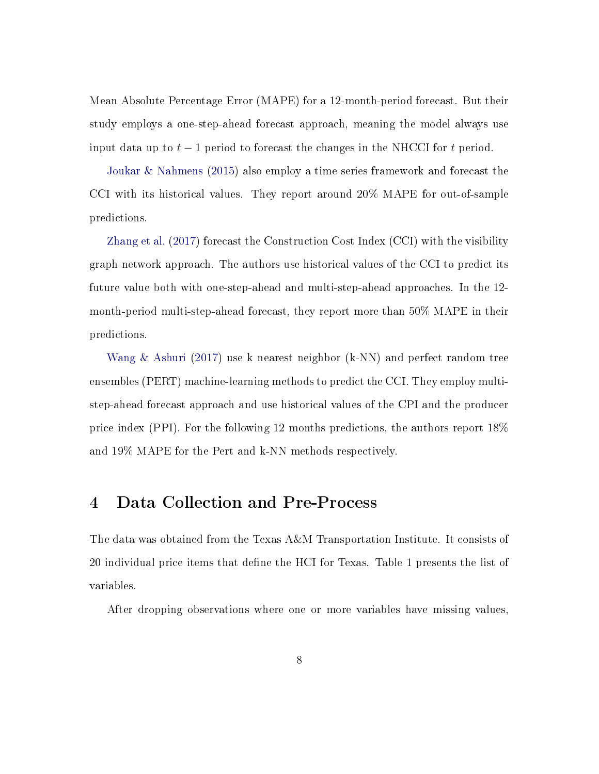Mean Absolute Percentage Error (MAPE) for a 12-month-period forecast. But their study employs a one-step-ahead forecast approach, meaning the model always use input data up to  $t-1$  period to forecast the changes in the NHCCI for t period.

[Joukar & Nahmens](#page-18-5) [\(2015\)](#page-18-5) also employ a time series framework and forecast the CCI with its historical values. They report around 20% MAPE for out-of-sample predictions.

[Zhang et al.](#page-20-1) [\(2017\)](#page-20-1) forecast the Construction Cost Index (CCI) with the visibility graph network approach. The authors use historical values of the CCI to predict its future value both with one-step-ahead and multi-step-ahead approaches. In the 12 month-period multi-step-ahead forecast, they report more than 50% MAPE in their predictions.

[Wang & Ashuri](#page-19-4) [\(2017\)](#page-19-4) use k nearest neighbor (k-NN) and perfect random tree ensembles (PERT) machine-learning methods to predict the CCI. They employ multistep-ahead forecast approach and use historical values of the CPI and the producer price index (PPI). For the following 12 months predictions, the authors report 18% and 19% MAPE for the Pert and k-NN methods respectively.

## 4 Data Collection and Pre-Process

The data was obtained from the Texas A&M Transportation Institute. It consists of 20 individual price items that define the HCI for Texas. Table 1 presents the list of variables.

After dropping observations where one or more variables have missing values,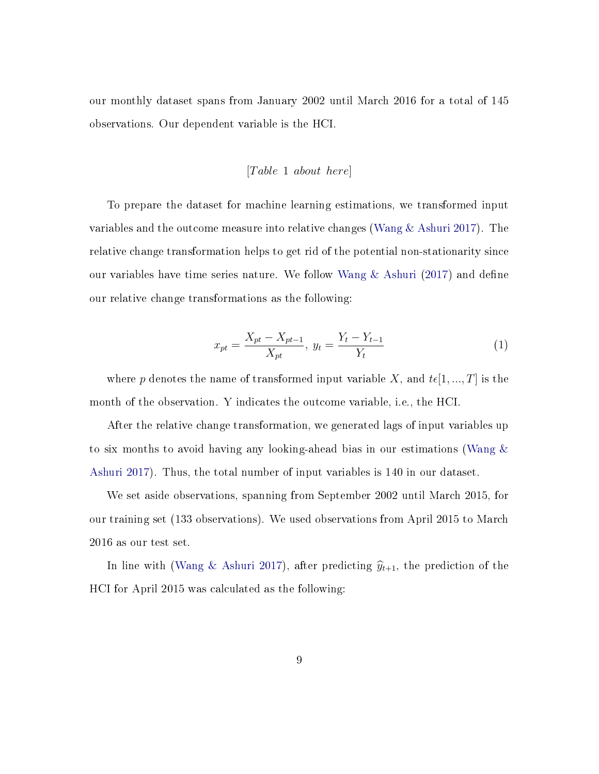our monthly dataset spans from January 2002 until March 2016 for a total of 145 observations. Our dependent variable is the HCI.

#### $[Table 1 about here]$

To prepare the dataset for machine learning estimations, we transformed input variables and the outcome measure into relative changes [\(Wang & Ashuri](#page-19-4) [2017\)](#page-19-4). The relative change transformation helps to get rid of the potential non-stationarity since our variables have time series nature. We follow Wang  $\&$  Ashuri [\(2017\)](#page-19-4) and define our relative change transformations as the following:

$$
x_{pt} = \frac{X_{pt} - X_{pt-1}}{X_{pt}}, \ y_t = \frac{Y_t - Y_{t-1}}{Y_t} \tag{1}
$$

where p denotes the name of transformed input variable X, and  $t\epsilon[1, ..., T]$  is the month of the observation. Y indicates the outcome variable, i.e., the HCI.

After the relative change transformation, we generated lags of input variables up to six months to avoid having any looking-ahead bias in our estimations [\(Wang &](#page-19-4) [Ashuri](#page-19-4) [2017\)](#page-19-4). Thus, the total number of input variables is 140 in our dataset.

We set aside observations, spanning from September 2002 until March 2015, for our training set (133 observations). We used observations from April 2015 to March 2016 as our test set.

In line with [\(Wang & Ashuri](#page-19-4) [2017\)](#page-19-4), after predicting  $\hat{y}_{t+1}$ , the prediction of the HCI for April 2015 was calculated as the following: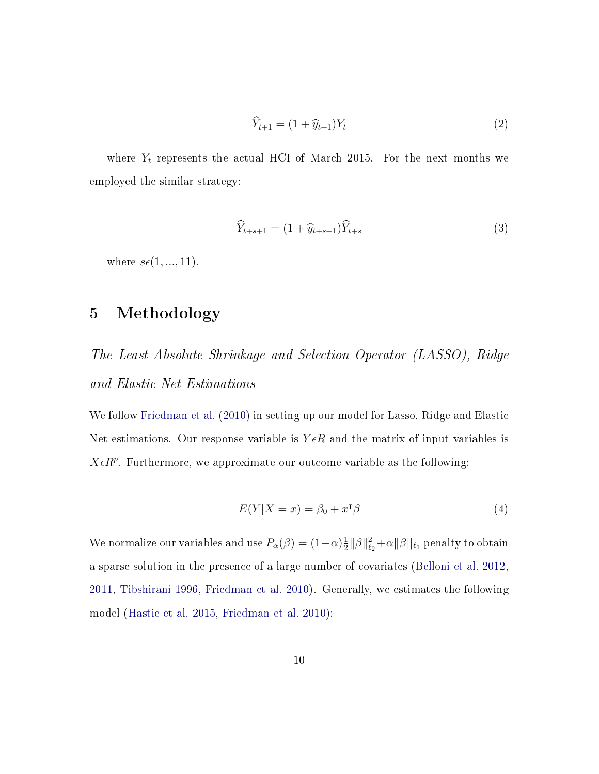$$
\widehat{Y}_{t+1} = (1 + \widehat{y}_{t+1})Y_t
$$
\n(2)

where  $Y_t$  represents the actual HCI of March 2015. For the next months we employed the similar strategy:

$$
\widehat{Y}_{t+s+1} = (1 + \widehat{y}_{t+s+1})\widehat{Y}_{t+s} \tag{3}
$$

where  $s\epsilon(1, ..., 11)$ .

# 5 Methodology

The Least Absolute Shrinkage and Selection Operator (LASSO), Ridge and Elastic Net Estimations

We follow [Friedman et al.](#page-18-6) [\(2010\)](#page-18-6) in setting up our model for Lasso, Ridge and Elastic Net estimations. Our response variable is  $Y \in R$  and the matrix of input variables is  $X \in R^p$ . Furthermore, we approximate our outcome variable as the following:

$$
E(Y|X=x) = \beta_0 + x^{\mathsf{T}}\beta \tag{4}
$$

We normalize our variables and use  $P_{\alpha}(\beta) = (1-\alpha)\frac{1}{2}$  $\frac{1}{2} \|\beta\|_{\ell_2}^2 + \alpha \|\beta\|_{\ell_1}$  penalty to obtain a sparse solution in the presence of a large number of covariates [\(Belloni et al.](#page-17-6) [2012,](#page-17-6) [2011,](#page-17-7) [Tibshirani](#page-19-7) [1996,](#page-19-7) [Friedman et al.](#page-18-6) [2010\)](#page-18-6). Generally, we estimates the following model [\(Hastie et al.](#page-18-1) [2015,](#page-18-1) [Friedman et al.](#page-18-6) [2010\)](#page-18-6):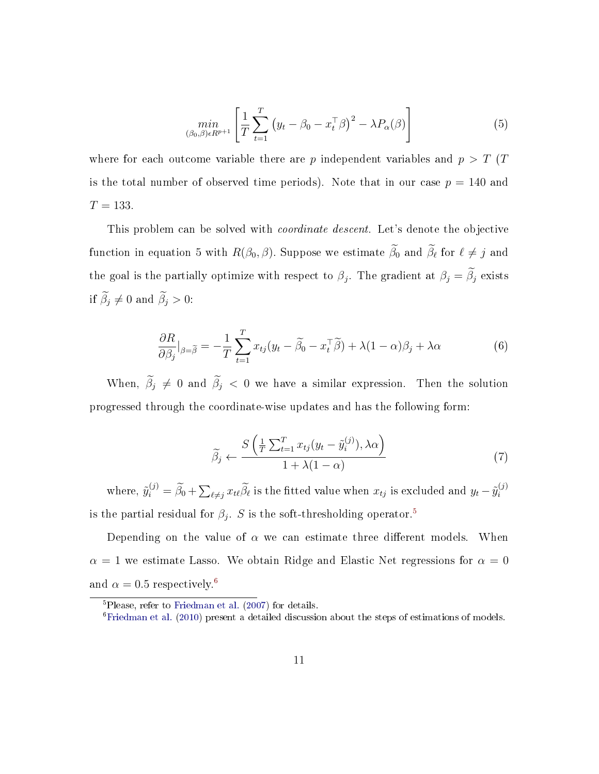$$
\min_{(\beta_0, \beta) \in R^{p+1}} \left[ \frac{1}{T} \sum_{t=1}^T \left( y_t - \beta_0 - x_t^\top \beta \right)^2 - \lambda P_\alpha(\beta) \right] \tag{5}
$$

where for each outcome variable there are  $p$  independent variables and  $p > T$  (T is the total number of observed time periods). Note that in our case  $p = 140$  and  $T = 133.$ 

This problem can be solved with *coordinate descent*. Let's denote the objective function in equation 5 with  $R(\beta_0, \beta)$ . Suppose we estimate  $\beta_0$  and  $\beta_\ell$  for  $\ell \neq j$  and the goal is the partially optimize with respect to  $\beta_j$ . The gradient at  $\beta_j = \beta_j$  exists if  $\widetilde{\beta}_j \neq 0$  and  $\widetilde{\beta}_j > 0$ :

$$
\frac{\partial R}{\partial \beta_j}|_{\beta = \tilde{\beta}} = -\frac{1}{T} \sum_{t=1}^T x_{tj} (y_t - \tilde{\beta}_0 - x_t^{\top} \tilde{\beta}) + \lambda (1 - \alpha) \beta_j + \lambda \alpha \tag{6}
$$

When,  $\tilde{\beta}_j \neq 0$  and  $\tilde{\beta}_j < 0$  we have a similar expression. Then the solution progressed through the coordinate-wise updates and has the following form:

$$
\widetilde{\beta}_j \leftarrow \frac{S\left(\frac{1}{T}\sum_{t=1}^T x_{tj}(y_t - \widetilde{y}_i^{(j)}), \lambda \alpha\right)}{1 + \lambda(1 - \alpha)}
$$
\n(7)

where,  $\tilde{y}_i^{(j)} = \tilde{\beta}_0 + \sum_{\ell \neq j} x_{\ell\ell} \tilde{\beta}_{\ell}$  is the fitted value when  $x_{tj}$  is excluded and  $y_t - \tilde{y}_i^{(j)}$ i is the partial residual for  $\beta_j$ . S is the soft-thresholding operator.<sup>[5](#page-11-0)</sup>

Depending on the value of  $\alpha$  we can estimate three different models. When  $\alpha = 1$  we estimate Lasso. We obtain Ridge and Elastic Net regressions for  $\alpha = 0$ and  $\alpha = 0.5$  respectively.<sup>[6](#page-11-1)</sup>

<span id="page-11-0"></span><sup>5</sup>Please, refer to [Friedman et al.](#page-18-7) [\(2007\)](#page-18-7) for details.

<span id="page-11-1"></span><sup>6</sup>[Friedman et al.](#page-18-6) [\(2010\)](#page-18-6) present a detailed discussion about the steps of estimations of models.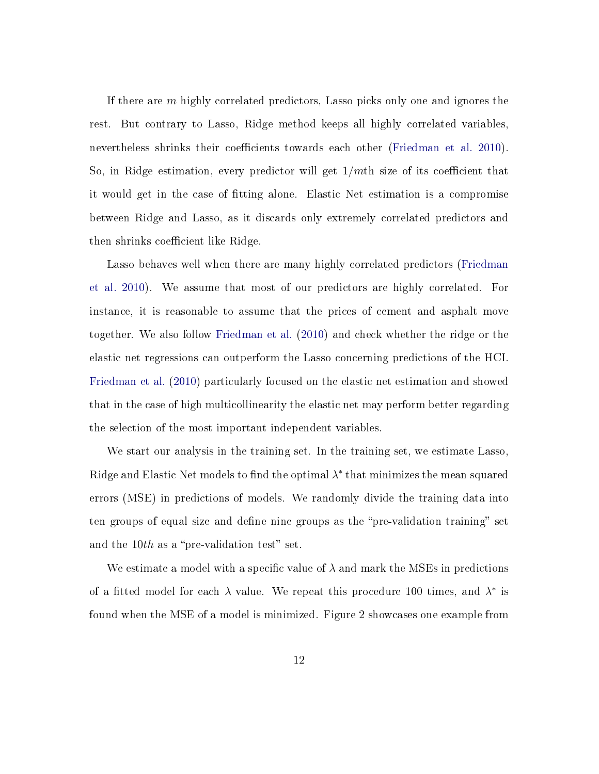If there are m highly correlated predictors, Lasso picks only one and ignores the rest. But contrary to Lasso, Ridge method keeps all highly correlated variables, nevertheless shrinks their coefficients towards each other [\(Friedman et al.](#page-18-6) [2010\)](#page-18-6). So, in Ridge estimation, every predictor will get  $1/mL$  size of its coefficient that it would get in the case of tting alone. Elastic Net estimation is a compromise between Ridge and Lasso, as it discards only extremely correlated predictors and then shrinks coefficient like Ridge.

Lasso behaves well when there are many highly correlated predictors [\(Friedman](#page-18-6) [et al.](#page-18-6) [2010\)](#page-18-6). We assume that most of our predictors are highly correlated. For instance, it is reasonable to assume that the prices of cement and asphalt move together. We also follow [Friedman et al.](#page-18-6) [\(2010\)](#page-18-6) and check whether the ridge or the elastic net regressions can outperform the Lasso concerning predictions of the HCI. [Friedman et al.](#page-18-6) [\(2010\)](#page-18-6) particularly focused on the elastic net estimation and showed that in the case of high multicollinearity the elastic net may perform better regarding the selection of the most important independent variables.

We start our analysis in the training set. In the training set, we estimate Lasso, Ridge and Elastic Net models to find the optimal  $\lambda^*$  that minimizes the mean squared errors (MSE) in predictions of models. We randomly divide the training data into ten groups of equal size and define nine groups as the "pre-validation training" set and the  $10th$  as a "pre-validation test" set.

We estimate a model with a specific value of  $\lambda$  and mark the MSEs in predictions of a fitted model for each  $\lambda$  value. We repeat this procedure 100 times, and  $\lambda^*$  is found when the MSE of a model is minimized. Figure 2 showcases one example from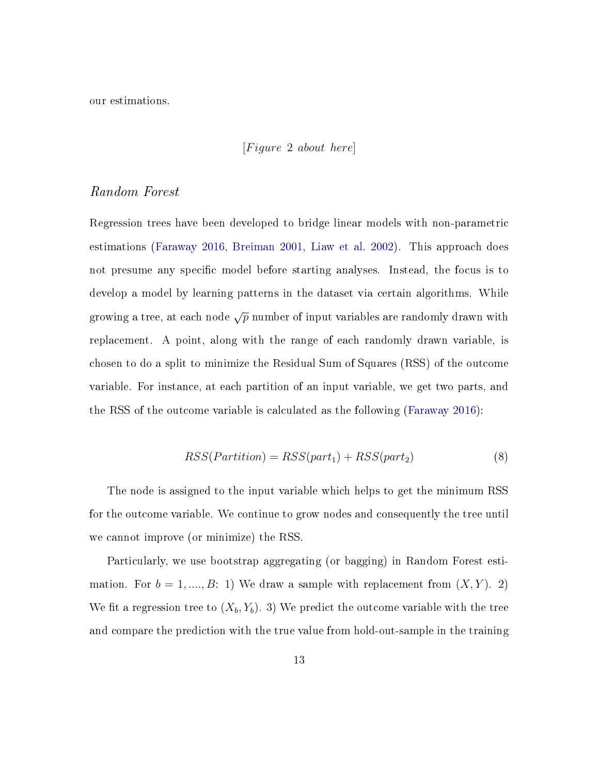our estimations.

### $[Figure 2 about here]$

## Random Forest

Regression trees have been developed to bridge linear models with non-parametric estimations [\(Faraway](#page-18-8) [2016,](#page-18-8) [Breiman](#page-17-8) [2001,](#page-17-8) [Liaw et al.](#page-19-8) [2002\)](#page-19-8). This approach does not presume any specific model before starting analyses. Instead, the focus is to develop a model by learning patterns in the dataset via certain algorithms. While growing a tree, at each node  $\sqrt{p}$  number of input variables are randomly drawn with replacement. A point, along with the range of each randomly drawn variable, is chosen to do a split to minimize the Residual Sum of Squares (RSS) of the outcome variable. For instance, at each partition of an input variable, we get two parts, and the RSS of the outcome variable is calculated as the following [\(Faraway](#page-18-8) [2016\)](#page-18-8):

$$
RSS(Partition) = RSS(part1) + RSS(part2)
$$
\n(8)

The node is assigned to the input variable which helps to get the minimum RSS for the outcome variable. We continue to grow nodes and consequently the tree until we cannot improve (or minimize) the RSS.

Particularly, we use bootstrap aggregating (or bagging) in Random Forest estimation. For  $b = 1, ..., B: 1$ ) We draw a sample with replacement from  $(X, Y)$ . 2) We fit a regression tree to  $(X_b, Y_b)$ . 3) We predict the outcome variable with the tree and compare the prediction with the true value from hold-out-sample in the training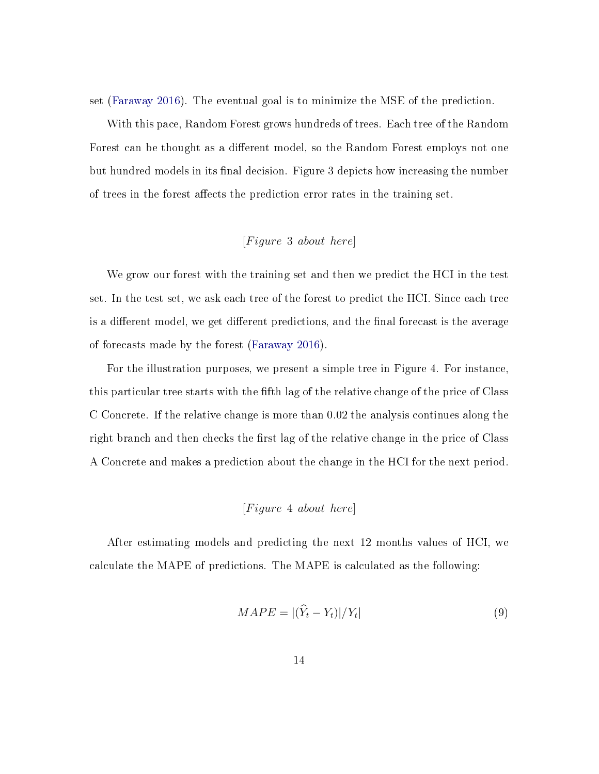set [\(Faraway](#page-18-8) [2016\)](#page-18-8). The eventual goal is to minimize the MSE of the prediction.

With this pace, Random Forest grows hundreds of trees. Each tree of the Random Forest can be thought as a different model, so the Random Forest employs not one but hundred models in its final decision. Figure 3 depicts how increasing the number of trees in the forest affects the prediction error rates in the training set.

## $[Figure 3 about here]$

We grow our forest with the training set and then we predict the HCI in the test set. In the test set, we ask each tree of the forest to predict the HCI. Since each tree is a different model, we get different predictions, and the final forecast is the average of forecasts made by the forest [\(Faraway](#page-18-8) [2016\)](#page-18-8).

For the illustration purposes, we present a simple tree in Figure 4. For instance, this particular tree starts with the fifth lag of the relative change of the price of Class C Concrete. If the relative change is more than 0.02 the analysis continues along the right branch and then checks the first lag of the relative change in the price of Class A Concrete and makes a prediction about the change in the HCI for the next period.

## $[Figure 4 about here]$

After estimating models and predicting the next 12 months values of HCI, we calculate the MAPE of predictions. The MAPE is calculated as the following:

$$
MAPE = |(\hat{Y}_t - Y_t)|/Y_t|
$$
\n<sup>(9)</sup>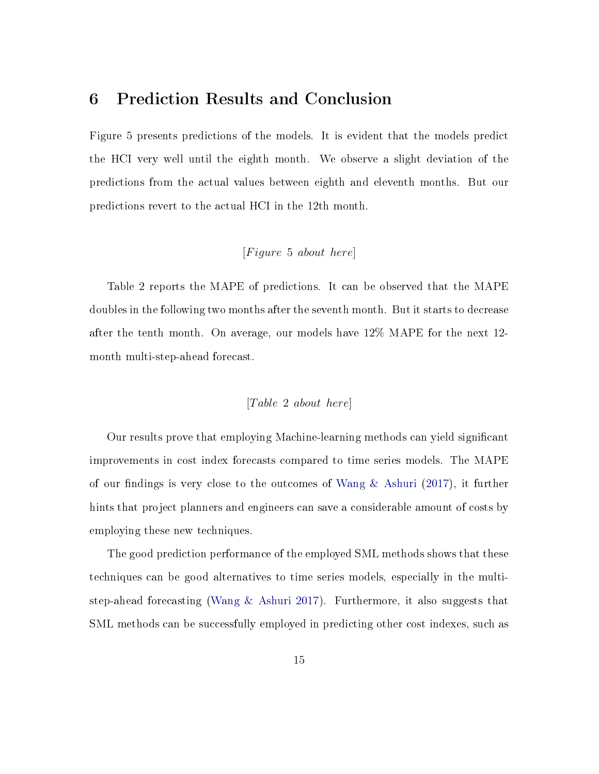## 6 Prediction Results and Conclusion

Figure 5 presents predictions of the models. It is evident that the models predict the HCI very well until the eighth month. We observe a slight deviation of the predictions from the actual values between eighth and eleventh months. But our predictions revert to the actual HCI in the 12th month.

## $[Figure~5~about~here]$

Table 2 reports the MAPE of predictions. It can be observed that the MAPE doubles in the following two months after the seventh month. But it starts to decrease after the tenth month. On average, our models have 12% MAPE for the next 12 month multi-step-ahead forecast.

## $[Table 2 about here]$

Our results prove that employing Machine-learning methods can yield signicant improvements in cost index forecasts compared to time series models. The MAPE of our findings is very close to the outcomes of Wang  $\&$  Ashuri [\(2017\)](#page-19-4), it further hints that project planners and engineers can save a considerable amount of costs by employing these new techniques.

The good prediction performance of the employed SML methods shows that these techniques can be good alternatives to time series models, especially in the multistep-ahead forecasting [\(Wang & Ashuri](#page-19-4) [2017\)](#page-19-4). Furthermore, it also suggests that SML methods can be successfully employed in predicting other cost indexes, such as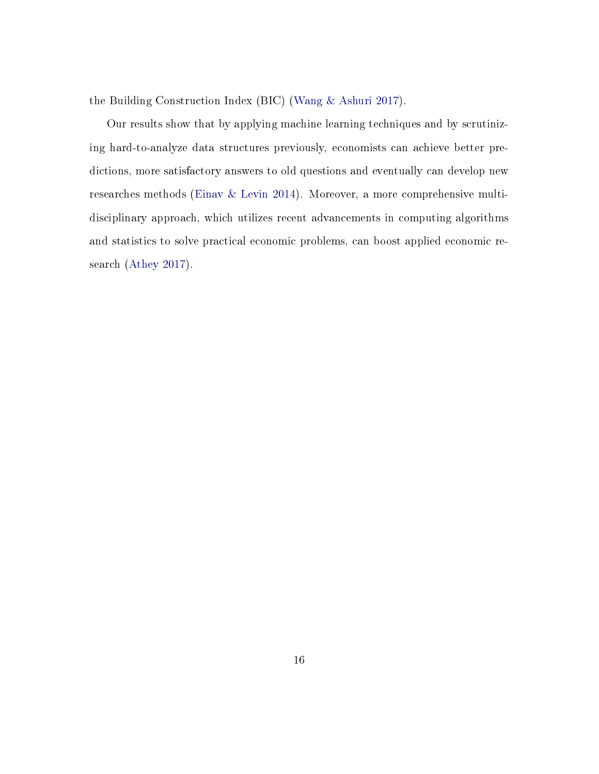the Building Construction Index (BIC) [\(Wang & Ashuri](#page-19-4) [2017\)](#page-19-4).

Our results show that by applying machine learning techniques and by scrutinizing hard-to-analyze data structures previously, economists can achieve better predictions, more satisfactory answers to old questions and eventually can develop new researches methods [\(Einav & Levin](#page-17-5) [2014\)](#page-17-5). Moreover, a more comprehensive multidisciplinary approach, which utilizes recent advancements in computing algorithms and statistics to solve practical economic problems, can boost applied economic research [\(Athey](#page-17-1) [2017\)](#page-17-1).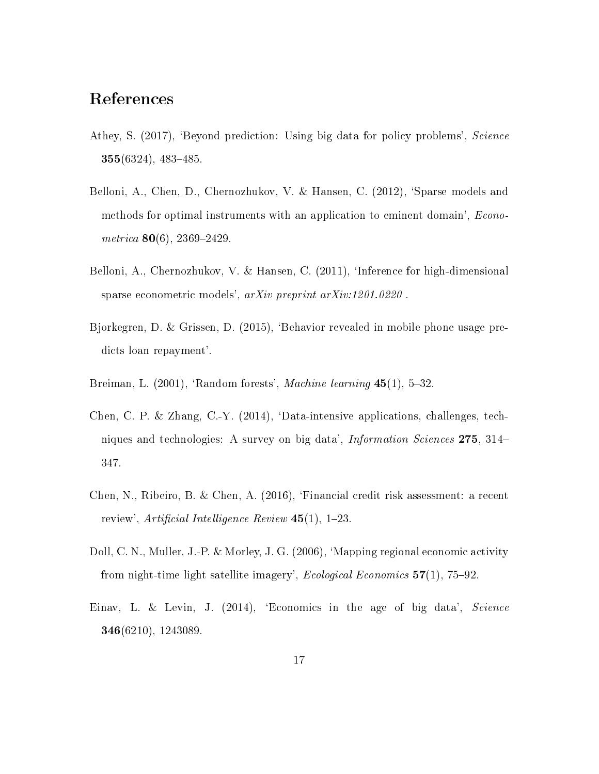# References

- <span id="page-17-1"></span>Athey, S. (2017), 'Beyond prediction: Using big data for policy problems', Science 355(6324), 483-485.
- <span id="page-17-6"></span>Belloni, A., Chen, D., Chernozhukov, V. & Hansen, C. (2012), 'Sparse models and methods for optimal instruments with an application to eminent domain', Econometrica  $80(6)$ , 2369–2429.
- <span id="page-17-7"></span>Belloni, A., Chernozhukov, V. & Hansen, C. (2011), 'Inference for high-dimensional sparse econometric models', arXiv preprint arXiv:1201.0220 .
- <span id="page-17-2"></span>Bjorkegren, D. & Grissen, D. (2015), `Behavior revealed in mobile phone usage predicts loan repayment'.
- <span id="page-17-8"></span>Breiman, L.  $(2001)$ , 'Random forests', *Machine learning*  $45(1)$ , 5-32.
- <span id="page-17-0"></span>Chen, C. P. & Zhang, C.-Y. (2014), 'Data-intensive applications, challenges, techniques and technologies: A survey on big data', *Information Sciences* 275, 314– 347.
- <span id="page-17-3"></span>Chen, N., Ribeiro, B. & Chen, A. (2016), `Financial credit risk assessment: a recent review', Artificial Intelligence Review  $45(1)$ , 1-23.
- <span id="page-17-4"></span>Doll, C. N., Muller, J.-P. & Morley, J. G. (2006), `Mapping regional economic activity from night-time light satellite imagery', *Ecological Economics*  $57(1)$ ,  $75-92$ .
- <span id="page-17-5"></span>Einav, L. & Levin, J. (2014), 'Economics in the age of big data', Science 346(6210), 1243089.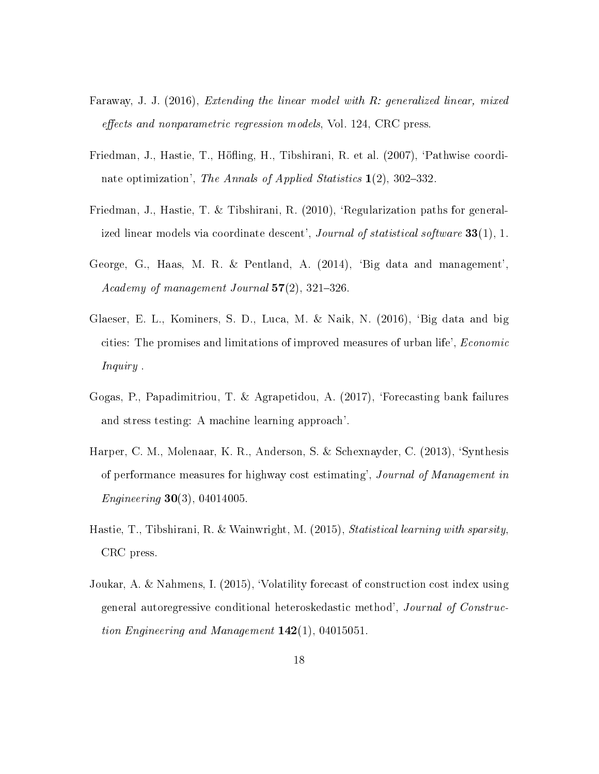- <span id="page-18-8"></span>Faraway, J. J. (2016), Extending the linear model with R: generalized linear, mixed effects and nonparametric regression models, Vol. 124, CRC press.
- <span id="page-18-7"></span>Friedman, J., Hastie, T., Höfling, H., Tibshirani, R. et al. (2007), 'Pathwise coordinate optimization', The Annals of Applied Statistics  $1(2)$ , 302–332.
- <span id="page-18-6"></span>Friedman, J., Hastie, T. & Tibshirani, R. (2010), 'Regularization paths for generalized linear models via coordinate descent', *Journal of statistical software*  $33(1)$ , 1.
- <span id="page-18-0"></span>George, G., Haas, M. R. & Pentland, A. (2014), `Big data and management', Academy of management Journal  $57(2)$ ,  $321-326$ .
- <span id="page-18-3"></span>Glaeser, E. L., Kominers, S. D., Luca, M. & Naik, N. (2016), `Big data and big cities: The promises and limitations of improved measures of urban life', Economic Inquiry .
- <span id="page-18-2"></span>Gogas, P., Papadimitriou, T. & Agrapetidou, A. (2017), `Forecasting bank failures and stress testing: A machine learning approach'.
- <span id="page-18-4"></span>Harper, C. M., Molenaar, K. R., Anderson, S. & Schexnayder, C. (2013), `Synthesis of performance measures for highway cost estimating', Journal of Management in *Engineering* **30**(3), 04014005.
- <span id="page-18-1"></span>Hastie, T., Tibshirani, R. & Wainwright, M. (2015), Statistical learning with sparsity, CRC press.
- <span id="page-18-5"></span>Joukar, A. & Nahmens, I. (2015), `Volatility forecast of construction cost index using general autoregressive conditional heteroskedastic method', Journal of Construction Engineering and Management  $142(1)$ , 04015051.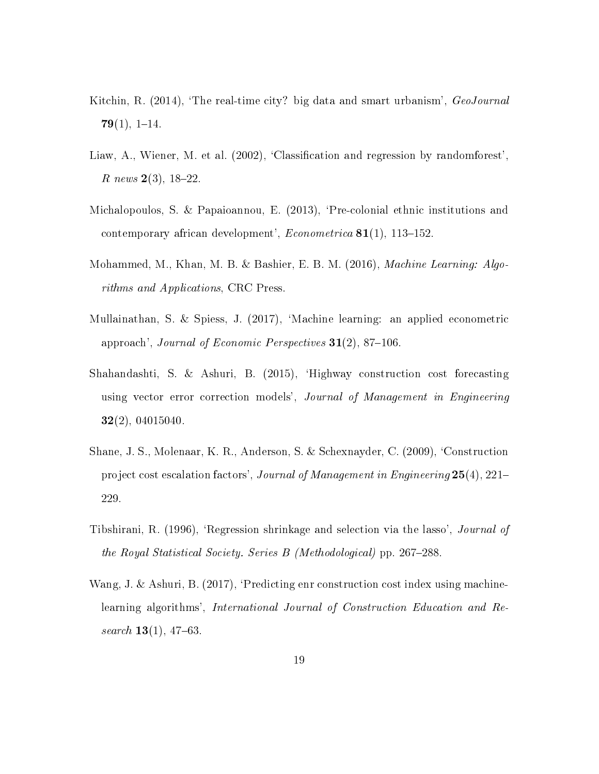- <span id="page-19-1"></span>Kitchin, R. (2014), 'The real-time city? big data and smart urbanism', GeoJournal  $79(1), 1-14.$
- <span id="page-19-8"></span>Liaw, A., Wiener, M. et al. (2002), 'Classification and regression by randomforest', R news  $2(3)$ , 18-22.
- <span id="page-19-2"></span>Michalopoulos, S. & Papaioannou, E. (2013), `Pre-colonial ethnic institutions and contemporary african development',  $Econometrica$  81(1), 113-152.
- <span id="page-19-0"></span>Mohammed, M., Khan, M. B. & Bashier, E. B. M. (2016), Machine Learning: Algorithms and Applications, CRC Press.
- <span id="page-19-3"></span>Mullainathan, S. & Spiess, J. (2017), `Machine learning: an applied econometric approach', Journal of Economic Perspectives  $31(2)$ , 87-106.
- <span id="page-19-6"></span>Shahandashti, S. & Ashuri, B. (2015), `Highway construction cost forecasting using vector error correction models', Journal of Management in Engineering  $32(2)$ , 04015040.
- <span id="page-19-5"></span>Shane, J. S., Molenaar, K. R., Anderson, S. & Schexnayder, C. (2009), `Construction project cost escalation factors', Journal of Management in Engineering 25(4), 221 229.
- <span id="page-19-7"></span>Tibshirani, R. (1996), 'Regression shrinkage and selection via the lasso', *Journal of* the Royal Statistical Society. Series  $B$  (Methodological) pp. 267–288.
- <span id="page-19-4"></span>Wang, J. & Ashuri, B. (2017), 'Predicting enr construction cost index using machinelearning algorithms', International Journal of Construction Education and Research  $13(1)$ , 47-63.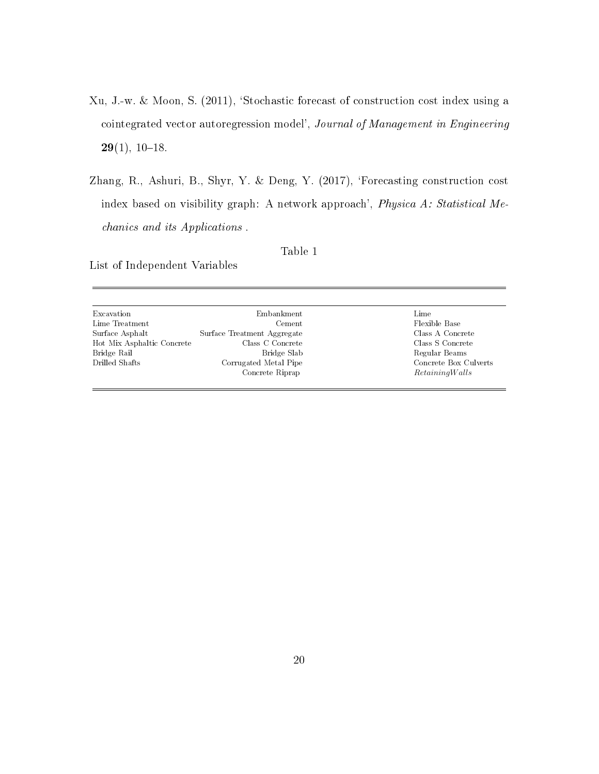- <span id="page-20-0"></span>Xu, J.-w. & Moon, S. (2011), `Stochastic forecast of construction cost index using a cointegrated vector autoregression model', Journal of Management in Engineering  $29(1), 10-18.$
- <span id="page-20-1"></span>Zhang, R., Ashuri, B., Shyr, Y. & Deng, Y. (2017), 'Forecasting construction cost index based on visibility graph: A network approach', Physica A: Statistical Mechanics and its Applications .

#### Table 1

List of Independent Variables

| Excavation                 | Embankment                  | Lime                  |
|----------------------------|-----------------------------|-----------------------|
| Lime Treatment             | Cement                      | Flexible Base         |
| Surface Asphalt            | Surface Treatment Aggregate | Class A Concrete      |
| Hot Mix Asphaltic Concrete | Class C Concrete            | Class S Concrete      |
| Bridge Rail                | Bridge Slab                 | Regular Beams         |
| Drilled Shafts             | Corrugated Metal Pipe       | Concrete Box Culverts |
|                            | Concrete Riprap             | RetainingWalls        |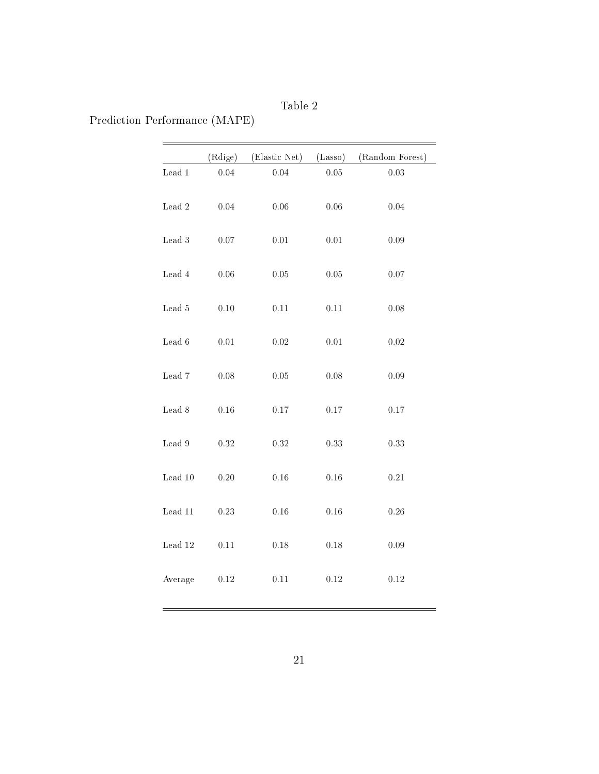Table 2

Prediction Performance (MAPE)

|                           | (Rdige)  | (Elastic Net) | (Lasso)  | (Random Forest) |
|---------------------------|----------|---------------|----------|-----------------|
| $\operatorname{Lead}$ $1$ | 0.04     | 0.04          | $0.05\,$ | $\rm 0.03$      |
| $\mbox{Lead}$ $2$         | 0.04     | $0.06\,$      | $0.06\,$ | 0.04            |
| $\mbox{Lead}~3$           | $0.07\,$ | $0.01\,$      | $0.01\,$ | 0.09            |
| $\mbox{Lead}$ $4$         | $0.06\,$ | $0.05\,$      | $0.05\,$ | $0.07\,$        |
| $\mbox{Lead}~5$           | $0.10\,$ | $0.11\,$      | $0.11\,$ | $0.08\,$        |
| $\rm{Lead}$ 6             | $0.01\,$ | $0.02\,$      | $0.01\,$ | $0.02\,$        |
| $\rm{Lead}$ $\rm{7}$      | $0.08\,$ | $0.05\,$      | $0.08\,$ | $0.09\,$        |
| $\rm{Lead}$ $\rm{8}$      | $0.16\,$ | $0.17\,$      | $0.17\,$ | $0.17\,$        |
| $\rm{Lead}$ $9$           | $0.32\,$ | 0.32          | 0.33     | 0.33            |
| $\mbox{Lead}$ $10$        | $0.20\,$ | 0.16          | $0.16\,$ | 0.21            |
| Lead 11                   | $0.23\,$ | 0.16          | $0.16\,$ | 0.26            |
| $\mbox{Lead}$ $12$        | $0.11\,$ | $0.18\,$      | $0.18\,$ | $0.09\,$        |
| Average                   | $0.12\,$ | 0.11          | $0.12\,$ | 0.12            |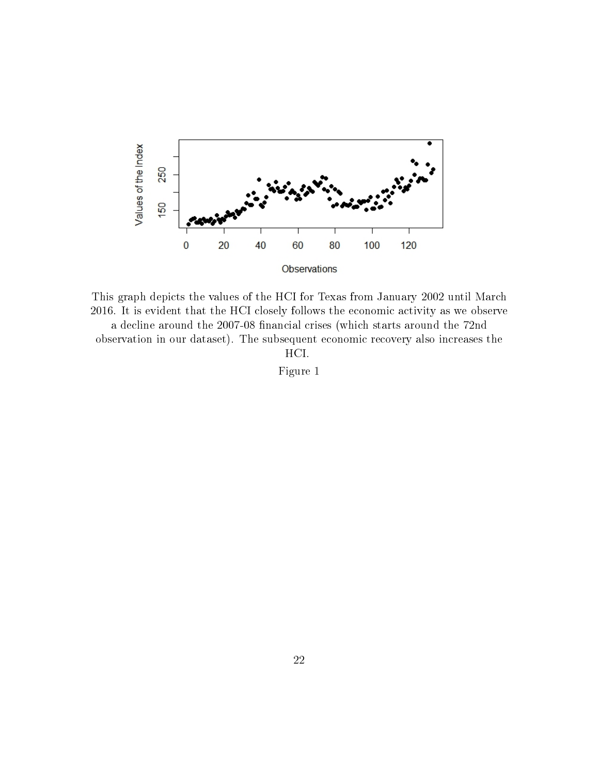

This graph depicts the values of the HCI for Texas from January 2002 until March 2016. It is evident that the HCI closely follows the economic activity as we observe a decline around the 2007-08 financial crises (which starts around the 72nd observation in our dataset). The subsequent economic recovery also increases the HCI.

Figure 1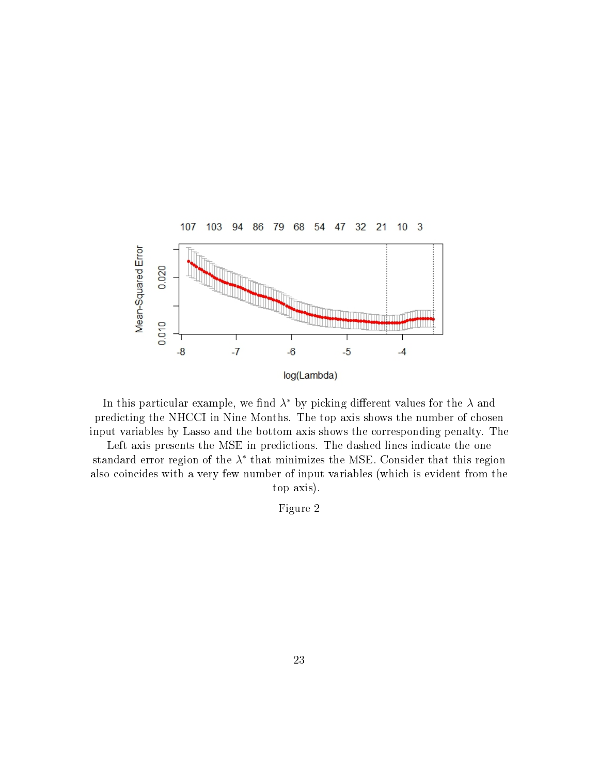

In this particular example, we find  $\lambda^*$  by picking different values for the  $\lambda$  and predicting the NHCCI in Nine Months. The top axis shows the number of chosen input variables by Lasso and the bottom axis shows the corresponding penalty. The

Left axis presents the MSE in predictions. The dashed lines indicate the one standard error region of the  $\lambda^*$  that minimizes the MSE. Consider that this region also coincides with a very few number of input variables (which is evident from the top axis).

Figure 2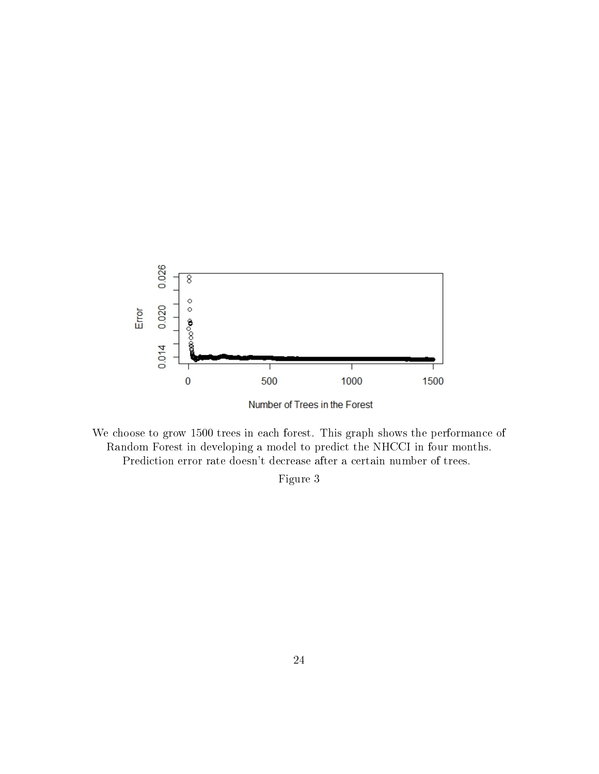



We choose to grow 1500 trees in each forest. This graph shows the performance of Random Forest in developing a model to predict the NHCCI in four months. Prediction error rate doesn't decrease after a certain number of trees.

Figure 3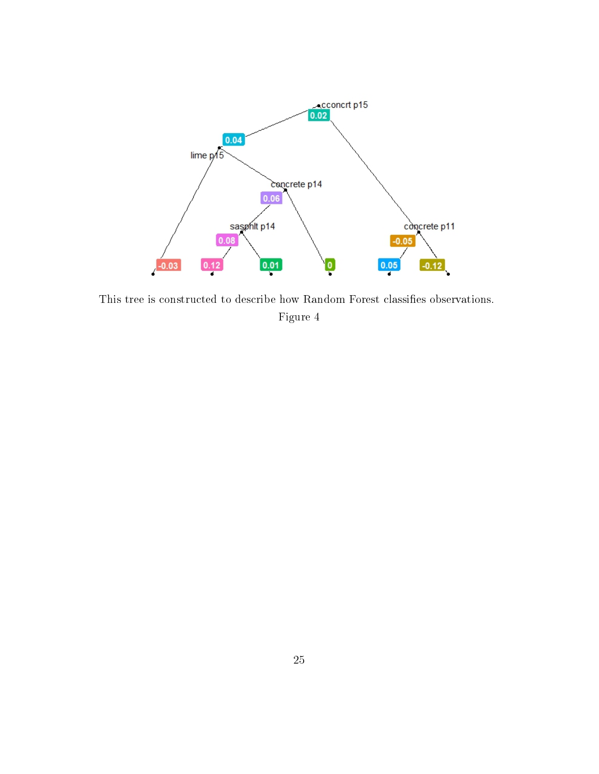

This tree is constructed to describe how Random Forest classifies observations. Figure 4